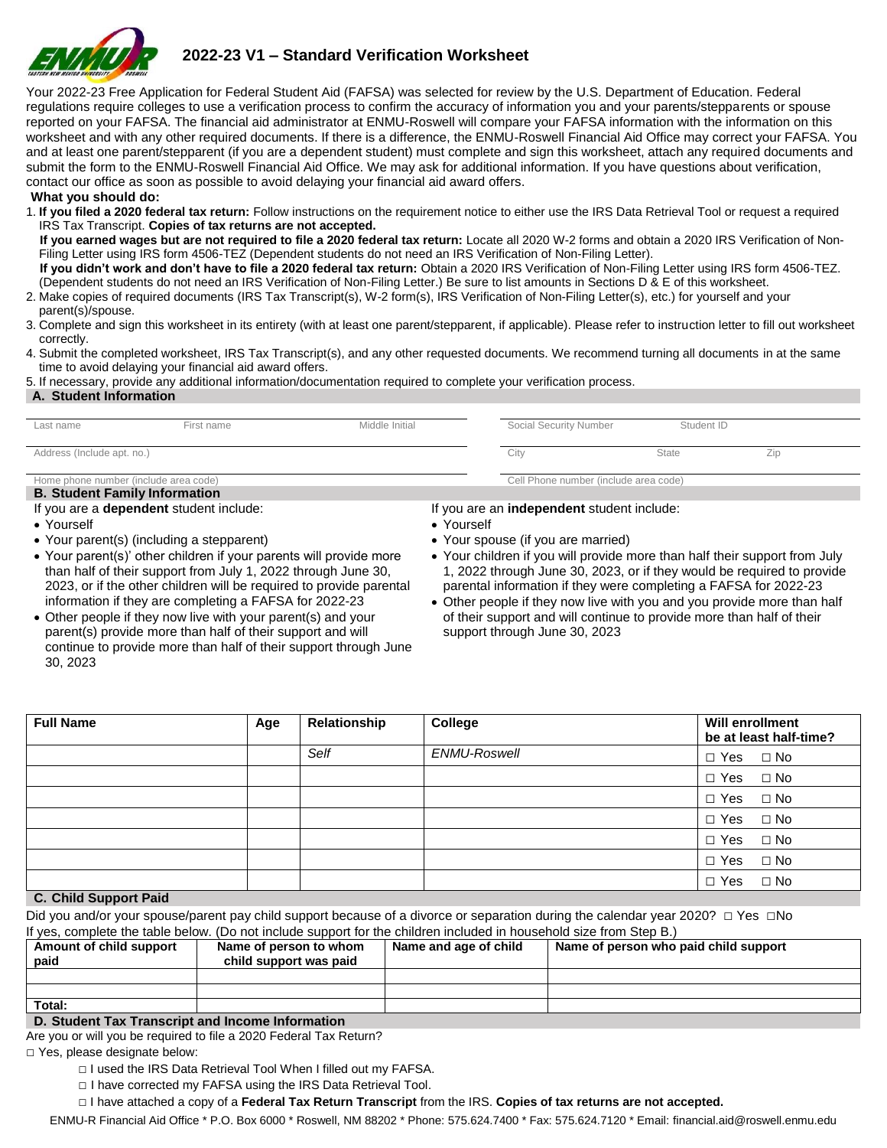

# **2022-23 V1 – Standard Verification Worksheet**

Your 2022-23 Free Application for Federal Student Aid (FAFSA) was selected for review by the U.S. Department of Education. Federal regulations require colleges to use a verification process to confirm the accuracy of information you and your parents/stepparents or spouse reported on your FAFSA. The financial aid administrator at ENMU-Roswell will compare your FAFSA information with the information on this worksheet and with any other required documents. If there is a difference, the ENMU-Roswell Financial Aid Office may correct your FAFSA. You and at least one parent/stepparent (if you are a dependent student) must complete and sign this worksheet, attach any required documents and submit the form to the ENMU-Roswell Financial Aid Office. We may ask for additional information. If you have questions about verification, contact our office as soon as possible to avoid delaying your financial aid award offers.

**What you should do:** 

1. **If you filed a 2020 federal tax return:** Follow instructions on the requirement notice to either use the IRS Data Retrieval Tool or request a required IRS Tax Transcript. **Copies of tax returns are not accepted.** 

 **If you earned wages but are not required to file a 2020 federal tax return:** Locate all 2020 W-2 forms and obtain a 2020 IRS Verification of Non-Filing Letter using IRS form 4506-TEZ (Dependent students do not need an IRS Verification of Non-Filing Letter).

 **If you didn't work and don't have to file a 2020 federal tax return:** Obtain a 2020 IRS Verification of Non-Filing Letter using IRS form 4506-TEZ. (Dependent students do not need an IRS Verification of Non-Filing Letter.) Be sure to list amounts in Sections D & E of this worksheet.

- 2. Make copies of required documents (IRS Tax Transcript(s), W-2 form(s), IRS Verification of Non-Filing Letter(s), etc.) for yourself and your
- parent(s)/spouse. 3. Complete and sign this worksheet in its entirety (with at least one parent/stepparent, if applicable). Please refer to instruction letter to fill out worksheet
- correctly.
- 4. Submit the completed worksheet, IRS Tax Transcript(s), and any other requested documents. We recommend turning all documents in at the same time to avoid delaying your financial aid award offers.

5. If necessary, provide any additional information/documentation required to complete your verification process.

#### **A. Student Information**

| Last name                                                                     | First name | Middle Initial | Social Security Number                | Student ID   |     |
|-------------------------------------------------------------------------------|------------|----------------|---------------------------------------|--------------|-----|
| Address (Include apt. no.)                                                    |            |                | City                                  | <b>State</b> | Zip |
| Home phone number (include area code)<br><b>B. Student Family Information</b> |            |                | Cell Phone number (include area code) |              |     |

If you are a **dependent** student include:

- Yourself
- Your parent(s) (including a stepparent)
- Your parent(s)' other children if your parents will provide more than half of their support from July 1, 2022 through June 30, 2023, or if the other children will be required to provide parental information if they are completing a FAFSA for 2022-23

If you are an **independent** student include:

- Yourself
- Your spouse (if you are married)
- Your children if you will provide more than half their support from July 1, 2022 through June 30, 2023, or if they would be required to provide parental information if they were completing a FAFSA for 2022-23
- Other people if they now live with you and you provide more than half of their support and will continue to provide more than half of their support through June 30, 2023

| • Other people if they now live with your parent(s) and your     |  |
|------------------------------------------------------------------|--|
| parent(s) provide more than half of their support and will       |  |
| continue to provide more than half of their support through June |  |
| 30, 2023                                                         |  |

| <b>Full Name</b>      | Age | Relationship | College      | <b>Will enrollment</b><br>be at least half-time? |
|-----------------------|-----|--------------|--------------|--------------------------------------------------|
|                       |     | Self         | ENMU-Roswell | $\Box$ Yes $\Box$ No                             |
|                       |     |              |              | $\Box$ Yes $\Box$ No                             |
|                       |     |              |              | $\Box$ Yes $\Box$ No                             |
|                       |     |              |              | $\Box$ Yes $\Box$ No                             |
|                       |     |              |              | $\Box$ Yes $\Box$ No                             |
|                       |     |              |              | $\Box$ Yes $\Box$ No                             |
| C. Child Support Daid |     |              |              | $\Box$ Yes $\Box$ No                             |

#### **C. Child Support Paid**

Did you and/or your spouse/parent pay child support because of a divorce or separation during the calendar year 2020? □ Yes □No If yes, complete the table below. (Do not include support for the children included in household size from Step B.)

| Amount of child support<br>paid | Name of person to whom<br>child support was paid | Name and age of child | Name of person who paid child support |
|---------------------------------|--------------------------------------------------|-----------------------|---------------------------------------|
|                                 |                                                  |                       |                                       |
|                                 |                                                  |                       |                                       |
| Total:                          |                                                  |                       |                                       |

#### **D. Student Tax Transcript and Income Information**

Are you or will you be required to file a 2020 Federal Tax Return? □ Yes, please designate below:

- □ I used the IRS Data Retrieval Tool When I filled out my FAFSA.
- □ I have corrected my FAFSA using the IRS Data Retrieval Tool.
- □ I have attached a copy of a **Federal Tax Return Transcript** from the IRS. **Copies of tax returns are not accepted.**

ENMU-R Financial Aid Office \* P.O. Box 6000 \* Roswell, NM 88202 \* Phone: 575.624.7400 \* Fax: 575.624.7120 \* Email: financial.aid@roswell.enmu.edu